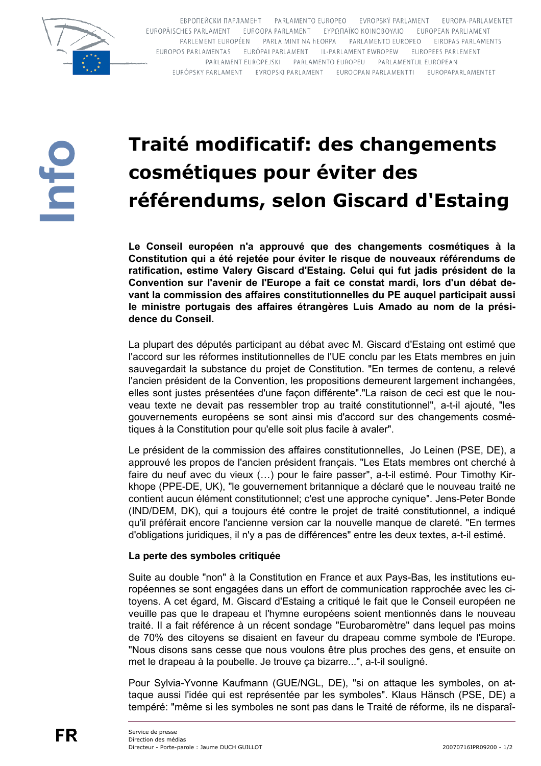

ЕВРОПЕЙСКИ ПАРЛАМЕНТ PARLAMENTO EUROPEO EVROPSKÝ PARLAMENT EUROPA-PARLAMENTET EUROPÄISCHES PARLAMENT EUROOPA PARLAMENT EYPΩΠΑΪΚΟ ΚΟΙΝΟΒΟΥΛΙΟ EUROPEAN PARLIAMENT PARLEMENT EUROPÉEN PARLAIMINT NA hEORPA PARLAMENTO EUROPEO EIROPAS PARLAMENTS EUROPOS PARLAMENTAS EURÓPAI PARLAMENT IL-PARLAMENT EWROPEW EUROPEES PARLEMENT PARLAMENT EUROPEJSKI PARLAMENTO EUROPEU PARLAMENTUL EUROPEAN EURÓPSKY PARLAMENT EVROPSKI PARLAMENT EUROOPAN PARLAMENTTI EUROPAPARLAMENTET

## Traité modificatif: des changements cosmétiques pour éviter des référendums, selon Giscard d'Estaing

Le Conseil européen n'a approuvé que des changements cosmétiques à la Constitution qui a été rejetée pour éviter le risque de nouveaux référendums de ratification, estime Valery Giscard d'Estaing. Celui qui fut jadis président de la Convention sur l'avenir de l'Europe a fait ce constat mardi, lors d'un débat devant la commission des affaires constitutionnelles du PE auquel participait aussi le ministre portugais des affaires étrangères Luis Amado au nom de la présidence du Conseil.

La plupart des députés participant au débat avec M. Giscard d'Estaing ont estimé que l'accord sur les réformes institutionnelles de l'UE conclu par les Etats membres en juin sauvegardait la substance du projet de Constitution. "En termes de contenu, a relevé l'ancien président de la Convention, les propositions demeurent largement inchangées, elles sont justes présentées d'une façon différente"."La raison de ceci est que le nouveau texte ne devait pas ressembler trop au traité constitutionnel", a-t-il ajouté, "les gouvernements européens se sont ainsi mis d'accord sur des changements cosmétiques à la Constitution pour qu'elle soit plus facile à avaler".

Le président de la commission des affaires constitutionnelles, Jo Leinen (PSE, DE), a approuvé les propos de l'ancien président français. "Les Etats membres ont cherché à faire du neuf avec du vieux (...) pour le faire passer", a-t-il estimé. Pour Timothy Kirkhope (PPE-DE, UK), "le gouvernement britannique a déclaré que le nouveau traité ne contient aucun élément constitutionnel; c'est une approche cynique". Jens-Peter Bonde (IND/DEM, DK), qui a toujours été contre le projet de traité constitutionnel, a indiqué qu'il préférait encore l'ancienne version car la nouvelle manque de clareté. "En termes d'obligations juridiques, il n'y a pas de différences" entre les deux textes, a-t-il estimé.

## La perte des symboles critiquée

Suite au double "non" à la Constitution en France et aux Pays-Bas, les institutions européennes se sont engagées dans un effort de communication rapprochée avec les citoyens. A cet égard, M. Giscard d'Estaing a critiqué le fait que le Conseil européen ne veuille pas que le drapeau et l'hymne européens soient mentionnés dans le nouveau traité. Il a fait référence à un récent sondage "Eurobaromètre" dans lequel pas moins de 70% des citovens se disaient en faveur du drapeau comme symbole de l'Europe. "Nous disons sans cesse que nous voulons être plus proches des gens, et ensuite on met le drapeau à la poubelle. Je trouve ça bizarre...", a-t-il souligné.

Pour Sylvia-Yvonne Kaufmann (GUE/NGL, DE), "si on attaque les symboles, on attaque aussi l'idée qui est représentée par les symboles". Klaus Hänsch (PSE, DE) a tempéré: "même si les symboles ne sont pas dans le Traité de réforme, ils ne disparaî